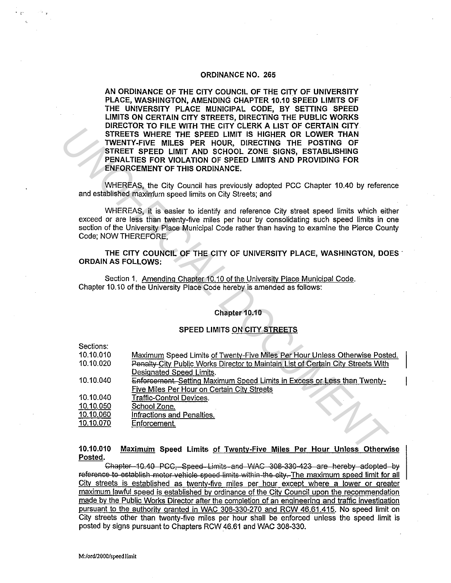### ORDINANCE NO. 265

AN ORDINANCE OF THE CITY COUNCIL OF THE CITY OF UNIVERSITY PLACE, WASHINGTON, AMENDING CHAPTER 10.10 SPEED LIMITS OF THE UNIVERSITY PLACE MUNICIPAL CODE, BY SETTING SPEED LIMITS ON CERTAIN CITY STREETS, DIRECTING THE PUBLIC WORKS DIRECTOR TO FILE WITH THE CITY CLERK A LIST OF CERTAIN CITY STREETS WHERE THE SPEED LIMIT IS HIGHER OR LOWER THAN TWENTY-FIVE MILES PER HOUR, DIRECTING THE POSTING OF STREET SPEED LIMIT AND SCHOOL ZONE SIGNS, ESTABLISHING PENALTIES FOR VIOLATION OF SPEED LIMITS AND PROVIDING FOR ENFORCEMENT OF THIS ORDINANCE.

#### Chapter 10.10

# SPEED LIMITS ON CITY STREETS

|                                                                                                                                                                                                                                                                                                                 | PIRESTOR TO FILE WITH THE SITE SEERN A LIST OF SERTAIN SITE.<br>STREETS WHERE THE SPEED LIMIT IS HIGHER OR LOWER THAN<br>TWENTY-FIVE MILES PER HOUR, DIRECTING THE POSTING OF<br>STREET SPEED LIMIT AND SCHOOL ZONE SIGNS, ESTABLISHING<br>PENALTIES FOR VIOLATION OF SPEED LIMITS AND PROVIDING FOR<br><b>ENFORCEMENT OF THIS ORDINANCE.</b> |
|-----------------------------------------------------------------------------------------------------------------------------------------------------------------------------------------------------------------------------------------------------------------------------------------------------------------|-----------------------------------------------------------------------------------------------------------------------------------------------------------------------------------------------------------------------------------------------------------------------------------------------------------------------------------------------|
| WHEREAS, the City Council has previously adopted PCC Chapter 10.40 by reference<br>and established maximum speed limits on City Streets; and                                                                                                                                                                    |                                                                                                                                                                                                                                                                                                                                               |
| WHEREAS, it is easier to identify and reference City street speed limits which either<br>exceed or are less than twenty-five miles per hour by consolidating such speed limits in one<br>section of the University Place Municipal Code rather than having to examine the Pierce County<br>Code; NOW THEREFORE, |                                                                                                                                                                                                                                                                                                                                               |
| THE CITY COUNCIL OF THE CITY OF UNIVERSITY PLACE, WASHINGTON, DOES<br><b>ORDAIN AS FOLLOWS:</b>                                                                                                                                                                                                                 |                                                                                                                                                                                                                                                                                                                                               |
| Section 1. Amending Chapter 10.10 of the University Place Municipal Code.<br>Chapter 10.10 of the University Place Code hereby is amended as follows:                                                                                                                                                           |                                                                                                                                                                                                                                                                                                                                               |
|                                                                                                                                                                                                                                                                                                                 |                                                                                                                                                                                                                                                                                                                                               |
| Chapter 10.10                                                                                                                                                                                                                                                                                                   |                                                                                                                                                                                                                                                                                                                                               |
| SPEED LIMITS ON CITY STREETS                                                                                                                                                                                                                                                                                    |                                                                                                                                                                                                                                                                                                                                               |
| Sections:                                                                                                                                                                                                                                                                                                       |                                                                                                                                                                                                                                                                                                                                               |
| 10.10.010                                                                                                                                                                                                                                                                                                       | Maximum Speed Limits of Twenty-Five Miles Per Hour Unless Otherwise Posted.                                                                                                                                                                                                                                                                   |
| 10.10.020                                                                                                                                                                                                                                                                                                       | Penalty-City Public Works Director to Maintain List of Certain City Streets With                                                                                                                                                                                                                                                              |
|                                                                                                                                                                                                                                                                                                                 | Designated Speed Limits.                                                                                                                                                                                                                                                                                                                      |
| 10.10.040                                                                                                                                                                                                                                                                                                       | Enforcement. Setting Maximum Speed Limits in Excess or Less than Twenty-                                                                                                                                                                                                                                                                      |
|                                                                                                                                                                                                                                                                                                                 | <b>Five Miles Per Hour on Certain City Streets</b>                                                                                                                                                                                                                                                                                            |
| 10.10.040                                                                                                                                                                                                                                                                                                       | <b>Traffic-Control Devices.</b>                                                                                                                                                                                                                                                                                                               |
| 10.10.050                                                                                                                                                                                                                                                                                                       | School Zone.                                                                                                                                                                                                                                                                                                                                  |
| 10.10.060                                                                                                                                                                                                                                                                                                       | Infractions and Penalties.                                                                                                                                                                                                                                                                                                                    |
| 10.10.070                                                                                                                                                                                                                                                                                                       | Enforcement.                                                                                                                                                                                                                                                                                                                                  |
| 10.10.010<br>Maximum Speed Limits of Twenty-Five Miles Per Hour Unless Otherwise                                                                                                                                                                                                                                |                                                                                                                                                                                                                                                                                                                                               |

10.10.010 Posted. Maximu'm Speed Limits of Twenty-Five Miles Per Hour Unless Otherwise

Chapter 10.40 PCC, Speed Limits and WAC 308-330-423 are hereby adopted by reference to establish motor vehicle speed limits within the city. The maximum speed limit for all Citv streets is established as twentv-five miles per hour except where a lower or greater maximum lawful speed is established by ordinance of the Citv Council upon the recommendation made by the Public Works Director after the completion of an engineering and traffic investigation pursuant to the authoritv granted in WAC 308-330-270 and RCW 46.61.415. No speed limit on City streets other than twenty-five miles per hour shall be enforced unless the speed limit is posted by signs pursuant to Chapters RCW 46.61 and WAC 308-330.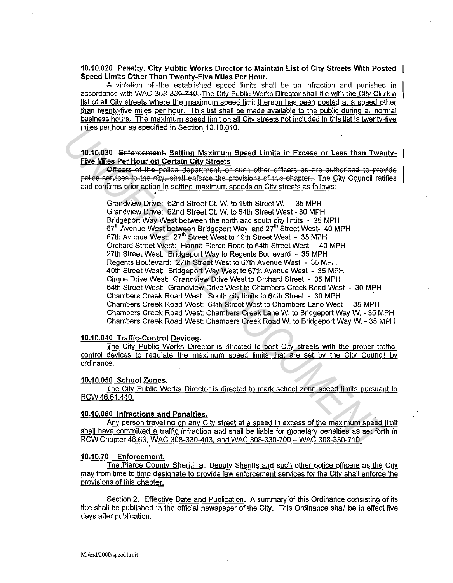10.10.020 - Penalty - City Public Works Director to Maintain List of City Streets With Posted Speed Limits Other Than Twenty-Five Miles Per Hour.

A violation of the established speed limits shall be an infraction and punished in accordance with WAC 308-330-710. The City Public Works Director shall file with the City Clerk a list of all City streets where the maximum speed limit thereon has been posted at a speed other than twenty-five miles per hour. This list shall be made available to the public during all normal business hours. The maximum speed limit on all City streets not included in this list is twenty-five miles per hour as specified in Section 10.10.010.

# 10.10.030 Enforcement. Setting Maximum Speed Limits in Excess or Less than Twenty-**Five Miles Per Hour on Certain City Streets**

Officers of the police department, or such other officers as are authorized to provide police services to the city, shall enforce the provisions of this chapter. The City Council ratifies and confirms prior action in setting maximum speeds on City streets as follows:

Grandview Drive: 62nd Street Ct. W. to 19th Street W. - 35 MPH Grandview Drive: 62nd Street Ct. W. to 64th Street West - 30 MPH Bridgeport Way West between the north and south city limits - 35 MPH 67<sup>th</sup> Avenue West between Bridgeport Way and 27<sup>th</sup> Street West- 40 MPH 67th Avenue West: 27<sup>th</sup> Street West to 19th Street West - 35 MPH Orchard Street West: Hanna Pierce Road to 64th Street West - 40 MPH 27th Street West: Bridgeport Way to Regents Boulevard - 35 MPH Regents Boulevard: 27th Street West to 67th Avenue West - 35 MPH 40th Street West: Bridgeport Way West to 67th Avenue West - 35 MPH Cirque Drive West: Grandview Drive West to Orchard Street - 35 MPH 64th Street West: Grandview Drive West to Chambers Creek Road West - 30 MPH Chambers Creek Road West: South city limits to 64th Street - 30 MPH Chambers Creek Road West: 64th Street West to Chambers Lane West - 35 MPH Chambers Creek Road West: Chambers Creek Lane W. to Bridgeport Way W. - 35 MPH Chambers Creek Road West: Chambers Creek Road W. to Bridgeport Way W. - 35 MPH

## 10.10.040 Traffic-Control Devices.

The City Public Works Director is directed to post City streets with the proper trafficcontrol devices to regulate the maximum speed limits that are set by the City Council by ordinance.

## 10.10.050 School Zones.

The City Public Works Director is directed to mark school zone speed limits pursuant to RCW 46.61.440.

### 10.10.060 Infractions and Penalties.

Any person traveling on any City street at a speed in excess of the maximum speed limit shall have committed a traffic infraction and shall be liable for monetary penalties as set forth in RCW Chapter 46.63, WAC 308-330-403, and WAC 308-330-700 - WAC 308-330-710.

#### 10.10.70 Enforcement.

The Pierce County Sheriff, all Deputy Sheriffs and such other police officers as the City may from time to time designate to provide law enforcement services for the City shall enforce the provisions of this chapter.

Section 2. Effective Date and Publication. A summary of this Ordinance consisting of its title shall be published in the official newspaper of the City. This Ordinance shall be in effect five days after publication.